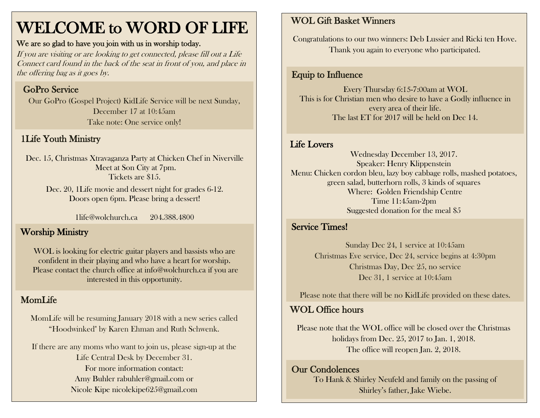# WELCOME to WORD OF LIFE

#### We are so glad to have you join with us in worship today.

If you are visiting or are looking to get connected, please fill out a Life Connect card found in the back of the seat in front of you, and place in the offering bag as it goes by.

### GoPro Service

Our GoPro (Gospel Project) KidLife Service will be next Sunday, December 17 at 10:45am Take note: One service only!

### 1Life Youth Ministry

Dec. 15, Christmas Xtravaganza Party at Chicken Chef in Niverville Meet at Son City at 7pm. Tickets are \$15.

Dec. 20, 1Life movie and dessert night for grades 6-12. Doors open 6pm. Please bring a dessert!

1life@wolchurch.ca 204.388.4800

#### Worship Ministry

WOL is looking for electric guitar players and bassists who are confident in their playing and who have a heart for worship. Please contact the church office at info@wolchurch.ca if you are interested in this opportunity.

## MomLife

MomLife will be resuming January 2018 with a new series called "Hoodwinked" by Karen Ehman and Ruth Schwenk.

If there are any moms who want to join us, please sign-up at the Life Central Desk by December 31. For more information contact: Amy Buhler [rabuhler@gmail.com](mailto:rabuhler@gmail.com) or Nicole Kipe [nicolekipe625@gmail.com](mailto:nicolekipe625@gmail.com)

#### WOL Gift Basket Winners

Congratulations to our two winners: Deb Lussier and Ricki ten Hove. Thank you again to everyone who participated.

#### Equip to Influence

Every Thursday 6:15-7:00am at WOL This is for Christian men who desire to have a Godly influence in every area of their life. The last ET for 2017 will be held on Dec 14.

#### Life Lovers

Wednesday December 13, 2017. Speaker: Henry Klippenstein Menu: Chicken cordon bleu, lazy boy cabbage rolls, mashed potatoes, green salad, butterhorn rolls, 3 kinds of squares Where: Golden Friendship Centre Time 11:45am-2pm Suggested donation for the meal \$5

#### Service Times!

Sunday Dec 24, 1 service at 10:45am Christmas Eve service, Dec 24, service begins at 4:30pm Christmas Day, Dec 25, no service Dec 31, 1 service at 10:45am

Please note that there will be no KidLife provided on these dates.

#### WOL Office hours

Please note that the WOL office will be closed over the Christmas holidays from Dec. 25, 2017 to Jan. 1, 2018. The office will reopen Jan. 2, 2018.

#### Our Condolences

To Hank & Shirley Neufeld and family on the passing of Shirley's father, Jake Wiebe.